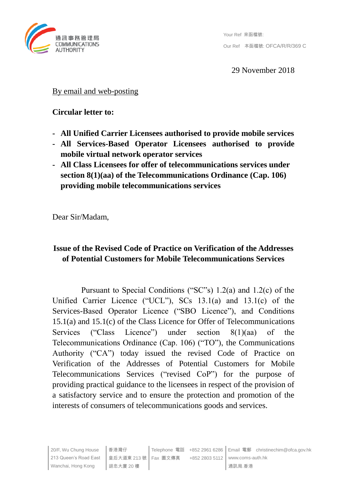

29 November 2018

### By email and web-posting

### **Circular letter to:**

- **- All Unified Carrier Licensees authorised to provide mobile services**
- **- All Services-Based Operator Licensees authorised to provide mobile virtual network operator services**
- **- All Class Licensees for offer of telecommunications services under section 8(1)(aa) of the Telecommunications Ordinance (Cap. 106) providing mobile telecommunications services**

Dear Sir/Madam,

# **Issue of the Revised Code of Practice on Verification of the Addresses of Potential Customers for Mobile Telecommunications Services**

Pursuant to Special Conditions ("SC"s) 1.2(a) and 1.2(c) of the Unified Carrier Licence ("UCL"), SCs 13.1(a) and 13.1(c) of the Services-Based Operator Licence ("SBO Licence"), and Conditions 15.1(a) and 15.1(c) of the Class Licence for Offer of Telecommunications Services ("Class Licence") under section 8(1)(aa) of the Telecommunications Ordinance (Cap. 106) ("TO"), the Communications Authority ("CA") today issued the revised Code of Practice on Verification of the Addresses of Potential Customers for Mobile Telecommunications Services ("revised CoP") for the purpose of providing practical guidance to the licensees in respect of the provision of a satisfactory service and to ensure the protection and promotion of the interests of consumers of telecommunications goods and services.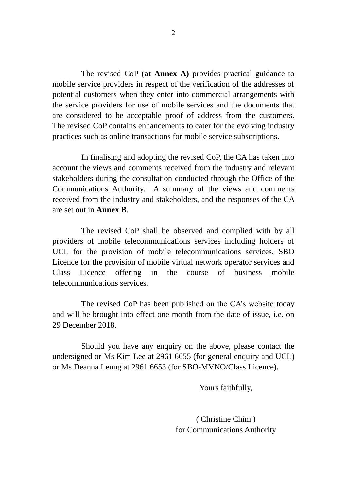The revised CoP (**at Annex A)** provides practical guidance to mobile service providers in respect of the verification of the addresses of potential customers when they enter into commercial arrangements with the service providers for use of mobile services and the documents that are considered to be acceptable proof of address from the customers. The revised CoP contains enhancements to cater for the evolving industry practices such as online transactions for mobile service subscriptions.

In finalising and adopting the revised CoP, the CA has taken into account the views and comments received from the industry and relevant stakeholders during the consultation conducted through the Office of the Communications Authority. A summary of the views and comments received from the industry and stakeholders, and the responses of the CA are set out in **Annex B**.

The revised CoP shall be observed and complied with by all providers of mobile telecommunications services including holders of UCL for the provision of mobile telecommunications services, SBO Licence for the provision of mobile virtual network operator services and Class Licence offering in the course of business mobile telecommunications services.

The revised CoP has been published on the CA's website today and will be brought into effect one month from the date of issue, i.e. on 29 December 2018.

Should you have any enquiry on the above, please contact the undersigned or Ms Kim Lee at 2961 6655 (for general enquiry and UCL) or Ms Deanna Leung at 2961 6653 (for SBO-MVNO/Class Licence).

Yours faithfully,

( Christine Chim ) for Communications Authority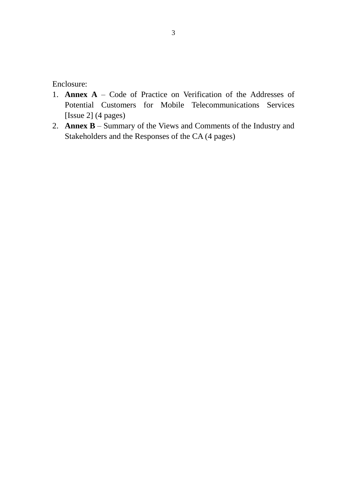Enclosure:

- 1. **Annex A** Code of Practice on Verification of the Addresses of Potential Customers for Mobile Telecommunications Services [Issue 2] (4 pages)
- 2. **Annex B** Summary of the Views and Comments of the Industry and Stakeholders and the Responses of the CA (4 pages)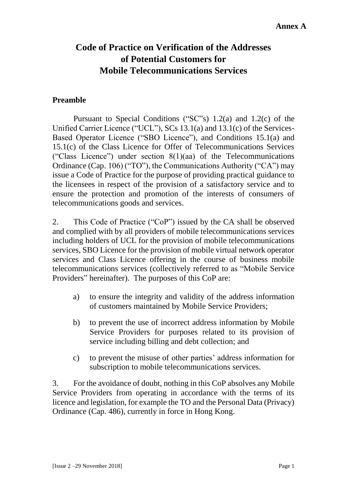# **Code of Practice on Verification of the Addresses of Potential Customers for Mobile Telecommunications Services**

### **Preamble**

Pursuant to Special Conditions ("SC"s) 1.2(a) and 1.2(c) of the Unified Carrier Licence ("UCL"), SCs 13.1(a) and 13.1(c) of the Services-Based Operator Licence ("SBO Licence"), and Conditions 15.1(a) and 15.1(c) of the Class Licence for Offer of Telecommunications Services ("Class Licence") under section 8(1)(aa) of the Telecommunications Ordinance (Cap. 106) ("TO"), the Communications Authority ("CA") may issue a Code of Practice for the purpose of providing practical guidance to the licensees in respect of the provision of a satisfactory service and to ensure the protection and promotion of the interests of consumers of telecommunications goods and services.

2. This Code of Practice ("CoP") issued by the CA shall be observed and complied with by all providers of mobile telecommunications services including holders of UCL for the provision of mobile telecommunications services, SBO Licence for the provision of mobile virtual network operator services and Class Licence offering in the course of business mobile telecommunications services (collectively referred to as "Mobile Service Providers" hereinafter). The purposes of this CoP are:

- a) to ensure the integrity and validity of the address information of customers maintained by Mobile Service Providers;
- b) to prevent the use of incorrect address information by Mobile Service Providers for purposes related to its provision of service including billing and debt collection; and
- c) to prevent the misuse of other parties' address information for subscription to mobile telecommunications services.

3. For the avoidance of doubt, nothing in this CoP absolves any Mobile Service Providers from operating in accordance with the terms of its licence and legislation, for example the TO and the Personal Data (Privacy) Ordinance (Cap. 486), currently in force in Hong Kong.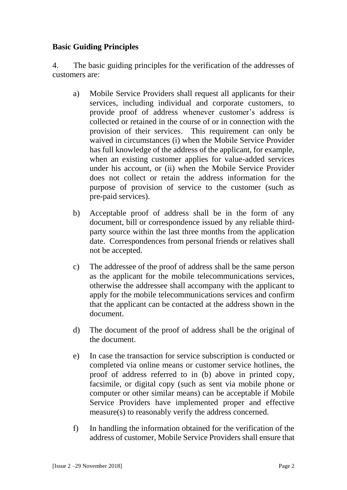# **Basic Guiding Principles**

4. The basic guiding principles for the verification of the addresses of customers are:

- a) Mobile Service Providers shall request all applicants for their services, including individual and corporate customers, to provide proof of address whenever customer's address is collected or retained in the course of or in connection with the provision of their services. This requirement can only be waived in circumstances (i) when the Mobile Service Provider has full knowledge of the address of the applicant, for example, when an existing customer applies for value-added services under his account, or (ii) when the Mobile Service Provider does not collect or retain the address information for the purpose of provision of service to the customer (such as pre-paid services).
- b) Acceptable proof of address shall be in the form of any document, bill or correspondence issued by any reliable thirdparty source within the last three months from the application date. Correspondences from personal friends or relatives shall not be accepted.
- c) The addressee of the proof of address shall be the same person as the applicant for the mobile telecommunications services, otherwise the addressee shall accompany with the applicant to apply for the mobile telecommunications services and confirm that the applicant can be contacted at the address shown in the document.
- d) The document of the proof of address shall be the original of the document.
- e) In case the transaction for service subscription is conducted or completed via online means or customer service hotlines, the proof of address referred to in (b) above in printed copy, facsimile, or digital copy (such as sent via mobile phone or computer or other similar means) can be acceptable if Mobile Service Providers have implemented proper and effective measure(s) to reasonably verify the address concerned.
- f) In handling the information obtained for the verification of the address of customer, Mobile Service Providers shall ensure that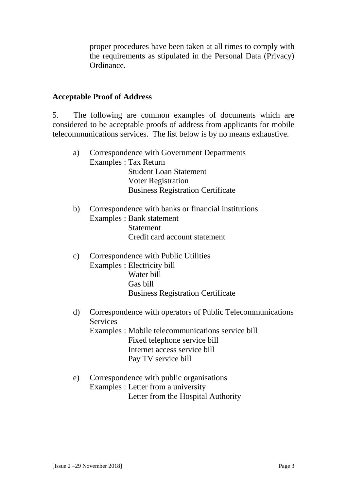proper procedures have been taken at all times to comply with the requirements as stipulated in the Personal Data (Privacy) Ordinance.

#### **Acceptable Proof of Address**

5. The following are common examples of documents which are considered to be acceptable proofs of address from applicants for mobile telecommunications services. The list below is by no means exhaustive.

- a) Correspondence with Government Departments Examples : Tax Return Student Loan Statement Voter Registration **Business Registration Certificate**
- b) Correspondence with banks or financial institutions Examples : Bank statement Statement Credit card account statement
- c) Correspondence with Public Utilities Examples : Electricity bill Water bill Gas bill **Business Registration Certificate**
- d) Correspondence with operators of Public Telecommunications Services Examples : Mobile telecommunications service bill Fixed telephone service bill Internet access service bill Pay TV service bill
- e) Correspondence with public organisations Examples : Letter from a university Letter from the Hospital Authority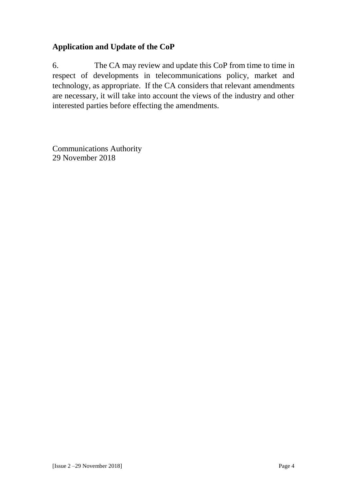# **Application and Update of the CoP**

6. The CA may review and update this CoP from time to time in respect of developments in telecommunications policy, market and technology, as appropriate. If the CA considers that relevant amendments are necessary, it will take into account the views of the industry and other interested parties before effecting the amendments.

Communications Authority 29 November 2018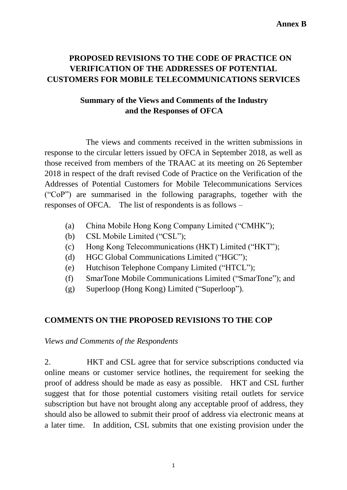# **PROPOSED REVISIONS TO THE CODE OF PRACTICE ON VERIFICATION OF THE ADDRESSES OF POTENTIAL CUSTOMERS FOR MOBILE TELECOMMUNICATIONS SERVICES**

# **Summary of the Views and Comments of the Industry and the Responses of OFCA**

The views and comments received in the written submissions in response to the circular letters issued by OFCA in September 2018, as well as those received from members of the TRAAC at its meeting on 26 September 2018 in respect of the draft revised Code of Practice on the Verification of the Addresses of Potential Customers for Mobile Telecommunications Services ("CoP") are summarised in the following paragraphs, together with the responses of OFCA. The list of respondents is as follows –

- (a) China Mobile Hong Kong Company Limited ("CMHK");
- (b) CSL Mobile Limited ("CSL");
- (c) Hong Kong Telecommunications (HKT) Limited ("HKT");
- (d) HGC Global Communications Limited ("HGC");
- (e) Hutchison Telephone Company Limited ("HTCL");
- (f) SmarTone Mobile Communications Limited ("SmarTone"); and
- (g) Superloop (Hong Kong) Limited ("Superloop").

# **COMMENTS ON THE PROPOSED REVISIONS TO THE COP**

*Views and Comments of the Respondents*

2. HKT and CSL agree that for service subscriptions conducted via online means or customer service hotlines, the requirement for seeking the proof of address should be made as easy as possible. HKT and CSL further suggest that for those potential customers visiting retail outlets for service subscription but have not brought along any acceptable proof of address, they should also be allowed to submit their proof of address via electronic means at a later time. In addition, CSL submits that one existing provision under the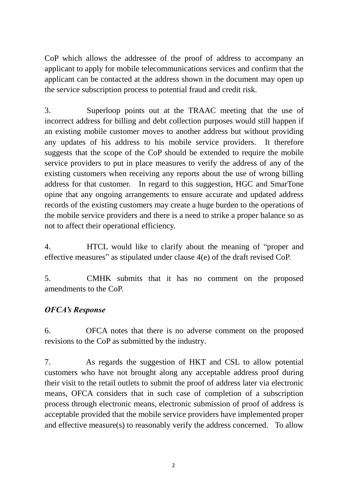CoP which allows the addressee of the proof of address to accompany an applicant to apply for mobile telecommunications services and confirm that the applicant can be contacted at the address shown in the document may open up the service subscription process to potential fraud and credit risk.

3. Superloop points out at the TRAAC meeting that the use of incorrect address for billing and debt collection purposes would still happen if an existing mobile customer moves to another address but without providing any updates of his address to his mobile service providers. It therefore suggests that the scope of the CoP should be extended to require the mobile service providers to put in place measures to verify the address of any of the existing customers when receiving any reports about the use of wrong billing address for that customer. In regard to this suggestion, HGC and SmarTone opine that any ongoing arrangements to ensure accurate and updated address records of the existing customers may create a huge burden to the operations of the mobile service providers and there is a need to strike a proper balance so as not to affect their operational efficiency.

4. HTCL would like to clarify about the meaning of "proper and effective measures" as stipulated under clause 4(e) of the draft revised CoP.

5. CMHK submits that it has no comment on the proposed amendments to the CoP.

# *OFCA's Response*

6. OFCA notes that there is no adverse comment on the proposed revisions to the CoP as submitted by the industry.

7. As regards the suggestion of HKT and CSL to allow potential customers who have not brought along any acceptable address proof during their visit to the retail outlets to submit the proof of address later via electronic means, OFCA considers that in such case of completion of a subscription process through electronic means, electronic submission of proof of address is acceptable provided that the mobile service providers have implemented proper and effective measure(s) to reasonably verify the address concerned. To allow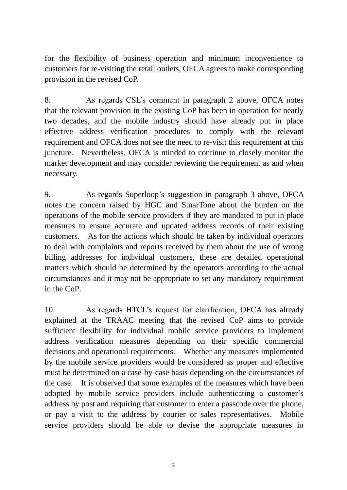for the flexibility of business operation and minimum inconvenience to customers for re-visiting the retail outlets, OFCA agrees to make corresponding provision in the revised CoP.

8. As regards CSL's comment in paragraph 2 above, OFCA notes that the relevant provision in the existing CoP has been in operation for nearly two decades, and the mobile industry should have already put in place effective address verification procedures to comply with the relevant requirement and OFCA does not see the need to re-visit this requirement at this juncture. Nevertheless, OFCA is minded to continue to closely monitor the market development and may consider reviewing the requirement as and when necessary.

9. As regards Superloop's suggestion in paragraph 3 above, OFCA notes the concern raised by HGC and SmarTone about the burden on the operations of the mobile service providers if they are mandated to put in place measures to ensure accurate and updated address records of their existing customers. As for the actions which should be taken by individual operators to deal with complaints and reports received by them about the use of wrong billing addresses for individual customers, these are detailed operational matters which should be determined by the operators according to the actual circumstances and it may not be appropriate to set any mandatory requirement in the CoP.

10. As regards HTCL's request for clarification, OFCA has already explained at the TRAAC meeting that the revised CoP aims to provide sufficient flexibility for individual mobile service providers to implement address verification measures depending on their specific commercial decisions and operational requirements. Whether any measures implemented by the mobile service providers would be considered as proper and effective must be determined on a case-by-case basis depending on the circumstances of the case. It is observed that some examples of the measures which have been adopted by mobile service providers include authenticating a customer's address by post and requiring that customer to enter a passcode over the phone, or pay a visit to the address by courier or sales representatives. Mobile service providers should be able to devise the appropriate measures in

3